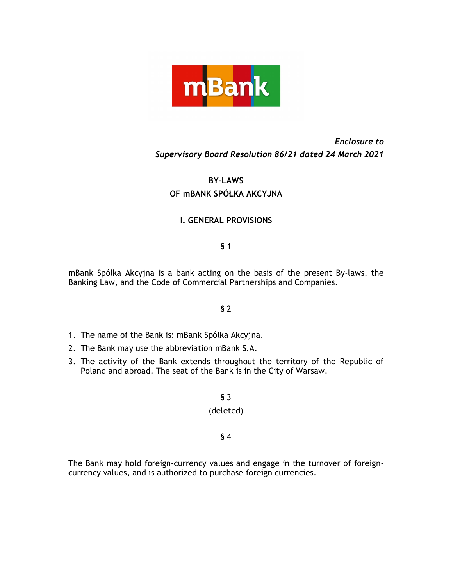

# *Enclosure to Supervisory Board Resolution 86/21 dated 24 March 2021*

# **BY-LAWS OF mBANK SPÓŁKA AKCYJNA**

# **I. GENERAL PROVISIONS**

# § 1

mBank Spółka Akcyjna is a bank acting on the basis of the present By-laws, the Banking Law, and the Code of Commercial Partnerships and Companies.

# § 2

- 1. The name of the Bank is: mBank Spółka Akcyjna.
- 2. The Bank may use the abbreviation mBank S.A.
- 3. The activity of the Bank extends throughout the territory of the Republic of Poland and abroad. The seat of the Bank is in the City of Warsaw.

§ 3 (deleted)

§ 4

The Bank may hold foreign-currency values and engage in the turnover of foreigncurrency values, and is authorized to purchase foreign currencies.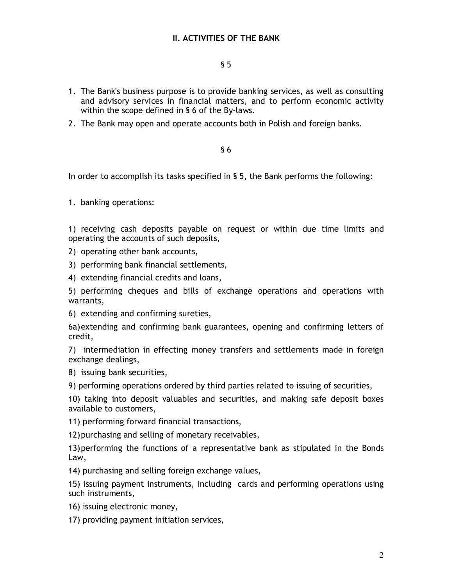# § 5

- 1. The Bank's business purpose is to provide banking services, as well as consulting and advisory services in financial matters, and to perform economic activity within the scope defined in § 6 of the By-laws.
- 2. The Bank may open and operate accounts both in Polish and foreign banks.

## § 6

In order to accomplish its tasks specified in § 5, the Bank performs the following:

1. banking operations:

1) receiving cash deposits payable on request or within due time limits and operating the accounts of such deposits,

- 2) operating other bank accounts,
- 3) performing bank financial settlements,
- 4) extending financial credits and loans,

5) performing cheques and bills of exchange operations and operations with warrants,

6) extending and confirming sureties,

6a)extending and confirming bank guarantees, opening and confirming letters of credit,

7) intermediation in effecting money transfers and settlements made in foreign exchange dealings,

- 8) issuing bank securities,
- 9) performing operations ordered by third parties related to issuing of securities,

10) taking into deposit valuables and securities, and making safe deposit boxes available to customers,

11) performing forward financial transactions,

12)purchasing and selling of monetary receivables,

13)performing the functions of a representative bank as stipulated in the Bonds Law,

14) purchasing and selling foreign exchange values,

15) issuing payment instruments, including cards and performing operations using such instruments,

- 16) issuing electronic money,
- 17) providing payment initiation services,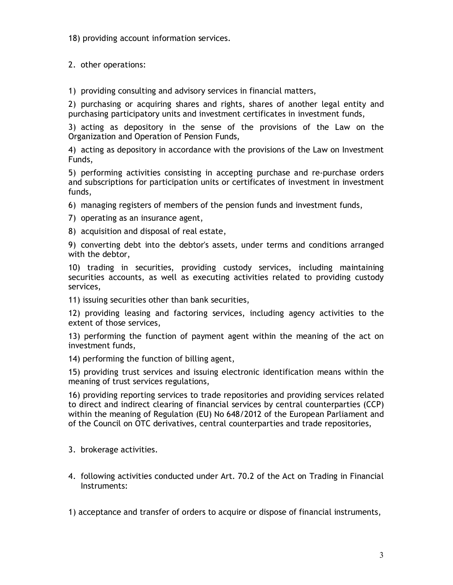18) providing account information services.

2. other operations:

1) providing consulting and advisory services in financial matters,

2) purchasing or acquiring shares and rights, shares of another legal entity and purchasing participatory units and investment certificates in investment funds,

3) acting as depository in the sense of the provisions of the Law on the Organization and Operation of Pension Funds,

4) acting as depository in accordance with the provisions of the Law on Investment Funds,

5) performing activities consisting in accepting purchase and re-purchase orders and subscriptions for participation units or certificates of investment in investment funds,

6) managing registers of members of the pension funds and investment funds,

7) operating as an insurance agent,

8) acquisition and disposal of real estate,

9) converting debt into the debtor's assets, under terms and conditions arranged with the debtor,

10) trading in securities, providing custody services, including maintaining securities accounts, as well as executing activities related to providing custody services,

11) issuing securities other than bank securities,

12) providing leasing and factoring services, including agency activities to the extent of those services,

13) performing the function of payment agent within the meaning of the act on investment funds,

14) performing the function of billing agent,

15) providing trust services and issuing electronic identification means within the meaning of trust services regulations,

16) providing reporting services to trade repositories and providing services related to direct and indirect clearing of financial services by central counterparties (CCP) within the meaning of Regulation (EU) No 648/2012 of the European Parliament and of the Council on OTC derivatives, central counterparties and trade repositories,

3. brokerage activities.

4. following activities conducted under Art. 70.2 of the Act on Trading in Financial Instruments:

1) acceptance and transfer of orders to acquire or dispose of financial instruments,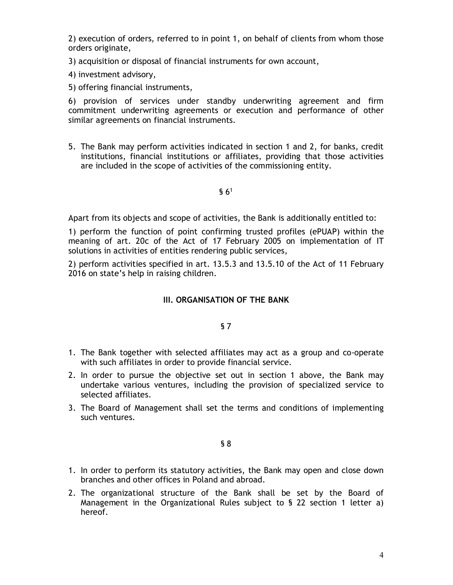2) execution of orders, referred to in point 1, on behalf of clients from whom those orders originate,

3) acquisition or disposal of financial instruments for own account,

4) investment advisory,

5) offering financial instruments,

6) provision of services under standby underwriting agreement and firm commitment underwriting agreements or execution and performance of other similar agreements on financial instruments.

5. The Bank may perform activities indicated in section 1 and 2, for banks, credit institutions, financial institutions or affiliates, providing that those activities are included in the scope of activities of the commissioning entity.

## $$6<sup>1</sup>$

Apart from its objects and scope of activities, the Bank is additionally entitled to:

1) perform the function of point confirming trusted profiles (ePUAP) within the meaning of art. 20c of the Act of 17 February 2005 on implementation of IT solutions in activities of entities rendering public services,

2) perform activities specified in art. 13.5.3 and 13.5.10 of the Act of 11 February 2016 on state's help in raising children.

# **III. ORGANISATION OF THE BANK**

## § 7

- 1. The Bank together with selected affiliates may act as a group and co-operate with such affiliates in order to provide financial service.
- 2. In order to pursue the objective set out in section 1 above, the Bank may undertake various ventures, including the provision of specialized service to selected affiliates.
- 3. The Board of Management shall set the terms and conditions of implementing such ventures.

- 1. In order to perform its statutory activities, the Bank may open and close down branches and other offices in Poland and abroad.
- 2. The organizational structure of the Bank shall be set by the Board of Management in the Organizational Rules subject to § 22 section 1 letter a) hereof.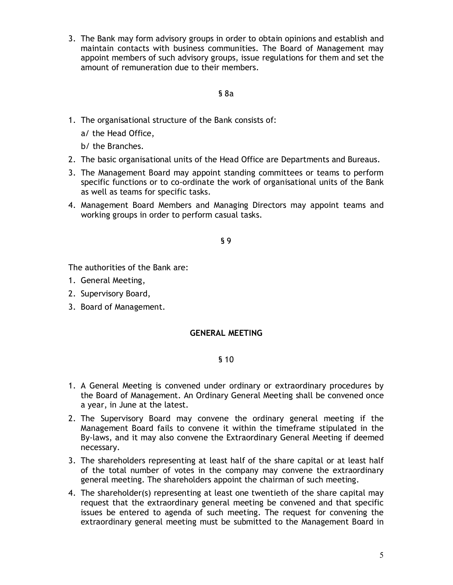3. The Bank may form advisory groups in order to obtain opinions and establish and maintain contacts with business communities. The Board of Management may appoint members of such advisory groups, issue regulations for them and set the amount of remuneration due to their members.

## § 8a

- 1. The organisational structure of the Bank consists of:
	- a/ the Head Office,
	- b/ the Branches.
- 2. The basic organisational units of the Head Office are Departments and Bureaus.
- 3. The Management Board may appoint standing committees or teams to perform specific functions or to co-ordinate the work of organisational units of the Bank as well as teams for specific tasks.
- 4. Management Board Members and Managing Directors may appoint teams and working groups in order to perform casual tasks.

## § 9

The authorities of the Bank are:

- 1. General Meeting,
- 2. Supervisory Board,
- 3. Board of Management.

# **GENERAL MEETING**

- 1. A General Meeting is convened under ordinary or extraordinary procedures by the Board of Management. An Ordinary General Meeting shall be convened once a year, in June at the latest.
- 2. The Supervisory Board may convene the ordinary general meeting if the Management Board fails to convene it within the timeframe stipulated in the By-laws, and it may also convene the Extraordinary General Meeting if deemed necessary.
- 3. The shareholders representing at least half of the share capital or at least half of the total number of votes in the company may convene the extraordinary general meeting. The shareholders appoint the chairman of such meeting.
- 4. The shareholder(s) representing at least one twentieth of the share capital may request that the extraordinary general meeting be convened and that specific issues be entered to agenda of such meeting. The request for convening the extraordinary general meeting must be submitted to the Management Board in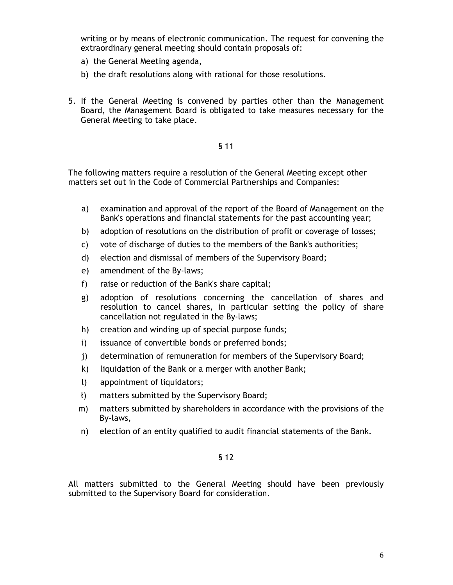writing or by means of electronic communication. The request for convening the extraordinary general meeting should contain proposals of:

- a) the General Meeting agenda,
- b) the draft resolutions along with rational for those resolutions.
- 5. If the General Meeting is convened by parties other than the Management Board, the Management Board is obligated to take measures necessary for the General Meeting to take place.

## § 11

The following matters require a resolution of the General Meeting except other matters set out in the Code of Commercial Partnerships and Companies:

- a) examination and approval of the report of the Board of Management on the Bank's operations and financial statements for the past accounting year;
- b) adoption of resolutions on the distribution of profit or coverage of losses;
- c) vote of discharge of duties to the members of the Bank's authorities;
- d) election and dismissal of members of the Supervisory Board;
- e) amendment of the By-laws;
- f) raise or reduction of the Bank's share capital;
- g) adoption of resolutions concerning the cancellation of shares and resolution to cancel shares, in particular setting the policy of share cancellation not regulated in the By-laws;
- h) creation and winding up of special purpose funds;
- i) issuance of convertible bonds or preferred bonds;
- j) determination of remuneration for members of the Supervisory Board;
- k) liquidation of the Bank or a merger with another Bank;
- l) appointment of liquidators;
- ł) matters submitted by the Supervisory Board;
- m) matters submitted by shareholders in accordance with the provisions of the By-laws,
- n) election of an entity qualified to audit financial statements of the Bank.

#### § 12

All matters submitted to the General Meeting should have been previously submitted to the Supervisory Board for consideration.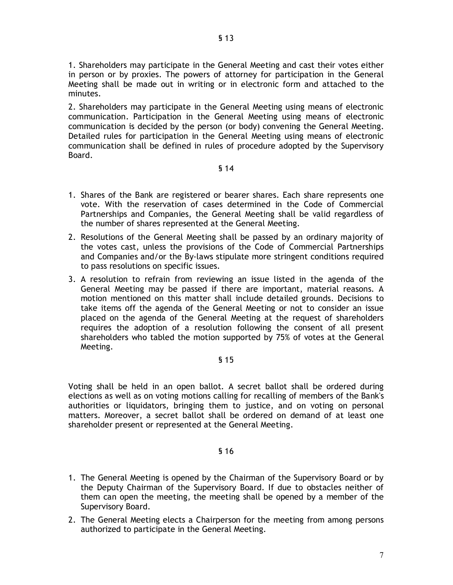1. Shareholders may participate in the General Meeting and cast their votes either in person or by proxies. The powers of attorney for participation in the General Meeting shall be made out in writing or in electronic form and attached to the minutes.

2. Shareholders may participate in the General Meeting using means of electronic communication. Participation in the General Meeting using means of electronic communication is decided by the person (or body) convening the General Meeting. Detailed rules for participation in the General Meeting using means of electronic communication shall be defined in rules of procedure adopted by the Supervisory Board.

# § 14

- 1. Shares of the Bank are registered or bearer shares. Each share represents one vote. With the reservation of cases determined in the Code of Commercial Partnerships and Companies, the General Meeting shall be valid regardless of the number of shares represented at the General Meeting.
- 2. Resolutions of the General Meeting shall be passed by an ordinary majority of the votes cast, unless the provisions of the Code of Commercial Partnerships and Companies and/or the By-laws stipulate more stringent conditions required to pass resolutions on specific issues.
- 3. A resolution to refrain from reviewing an issue listed in the agenda of the General Meeting may be passed if there are important, material reasons. A motion mentioned on this matter shall include detailed grounds. Decisions to take items off the agenda of the General Meeting or not to consider an issue placed on the agenda of the General Meeting at the request of shareholders requires the adoption of a resolution following the consent of all present shareholders who tabled the motion supported by 75% of votes at the General Meeting.

## § 15

Voting shall be held in an open ballot. A secret ballot shall be ordered during elections as well as on voting motions calling for recalling of members of the Bank's authorities or liquidators, bringing them to justice, and on voting on personal matters. Moreover, a secret ballot shall be ordered on demand of at least one shareholder present or represented at the General Meeting.

- 1. The General Meeting is opened by the Chairman of the Supervisory Board or by the Deputy Chairman of the Supervisory Board. If due to obstacles neither of them can open the meeting, the meeting shall be opened by a member of the Supervisory Board.
- 2. The General Meeting elects a Chairperson for the meeting from among persons authorized to participate in the General Meeting.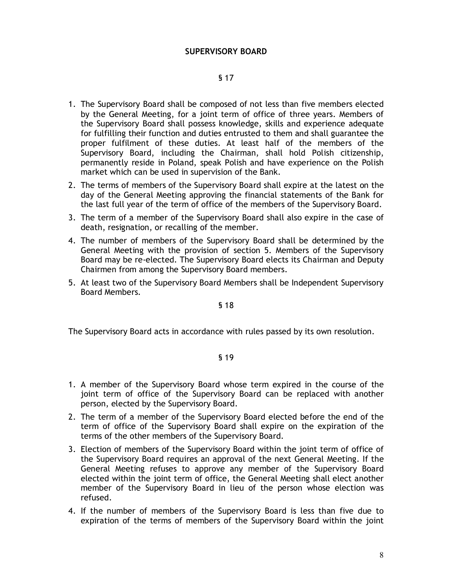## **SUPERVISORY BOARD**

## § 17

- 1. The Supervisory Board shall be composed of not less than five members elected by the General Meeting, for a joint term of office of three years. Members of the Supervisory Board shall possess knowledge, skills and experience adequate for fulfilling their function and duties entrusted to them and shall guarantee the proper fulfilment of these duties. At least half of the members of the Supervisory Board, including the Chairman, shall hold Polish citizenship, permanently reside in Poland, speak Polish and have experience on the Polish market which can be used in supervision of the Bank.
- 2. The terms of members of the Supervisory Board shall expire at the latest on the day of the General Meeting approving the financial statements of the Bank for the last full year of the term of office of the members of the Supervisory Board.
- 3. The term of a member of the Supervisory Board shall also expire in the case of death, resignation, or recalling of the member.
- 4. The number of members of the Supervisory Board shall be determined by the General Meeting with the provision of section 5. Members of the Supervisory Board may be re-elected. The Supervisory Board elects its Chairman and Deputy Chairmen from among the Supervisory Board members.
- 5. At least two of the Supervisory Board Members shall be Independent Supervisory Board Members.

§ 18

The Supervisory Board acts in accordance with rules passed by its own resolution.

- 1. A member of the Supervisory Board whose term expired in the course of the joint term of office of the Supervisory Board can be replaced with another person, elected by the Supervisory Board.
- 2. The term of a member of the Supervisory Board elected before the end of the term of office of the Supervisory Board shall expire on the expiration of the terms of the other members of the Supervisory Board.
- 3. Election of members of the Supervisory Board within the joint term of office of the Supervisory Board requires an approval of the next General Meeting. If the General Meeting refuses to approve any member of the Supervisory Board elected within the joint term of office, the General Meeting shall elect another member of the Supervisory Board in lieu of the person whose election was refused.
- 4. If the number of members of the Supervisory Board is less than five due to expiration of the terms of members of the Supervisory Board within the joint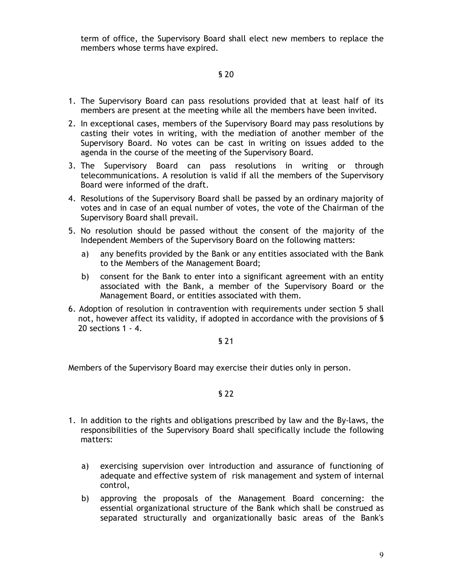term of office, the Supervisory Board shall elect new members to replace the members whose terms have expired.

# § 20

- 1. The Supervisory Board can pass resolutions provided that at least half of its members are present at the meeting while all the members have been invited.
- 2. In exceptional cases, members of the Supervisory Board may pass resolutions by casting their votes in writing, with the mediation of another member of the Supervisory Board. No votes can be cast in writing on issues added to the agenda in the course of the meeting of the Supervisory Board.
- 3. The Supervisory Board can pass resolutions in writing or through telecommunications. A resolution is valid if all the members of the Supervisory Board were informed of the draft.
- 4. Resolutions of the Supervisory Board shall be passed by an ordinary majority of votes and in case of an equal number of votes, the vote of the Chairman of the Supervisory Board shall prevail.
- 5. No resolution should be passed without the consent of the majority of the Independent Members of the Supervisory Board on the following matters:
	- a) any benefits provided by the Bank or any entities associated with the Bank to the Members of the Management Board;
	- b) consent for the Bank to enter into a significant agreement with an entity associated with the Bank, a member of the Supervisory Board or the Management Board, or entities associated with them.
- 6. Adoption of resolution in contravention with requirements under section 5 shall not, however affect its validity, if adopted in accordance with the provisions of § 20 sections 1 - 4.

## § 21

Members of the Supervisory Board may exercise their duties only in person.

- 1. In addition to the rights and obligations prescribed by law and the By-laws, the responsibilities of the Supervisory Board shall specifically include the following matters:
	- a) exercising supervision over introduction and assurance of functioning of adequate and effective system of risk management and system of internal control,
	- b) approving the proposals of the Management Board concerning: the essential organizational structure of the Bank which shall be construed as separated structurally and organizationally basic areas of the Bank's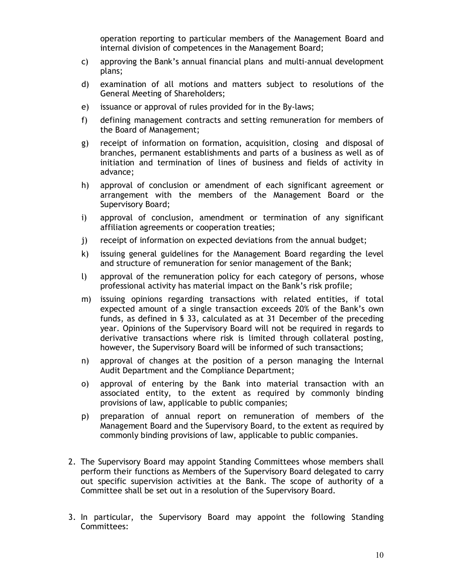operation reporting to particular members of the Management Board and internal division of competences in the Management Board;

- c) approving the Bank's annual financial plans and multi-annual development plans;
- d) examination of all motions and matters subject to resolutions of the General Meeting of Shareholders;
- e) issuance or approval of rules provided for in the By-laws;
- f) defining management contracts and setting remuneration for members of the Board of Management;
- g) receipt of information on formation, acquisition, closing and disposal of branches, permanent establishments and parts of a business as well as of initiation and termination of lines of business and fields of activity in advance;
- h) approval of conclusion or amendment of each significant agreement or arrangement with the members of the Management Board or the Supervisory Board;
- i) approval of conclusion, amendment or termination of any significant affiliation agreements or cooperation treaties;
- j) receipt of information on expected deviations from the annual budget;
- k) issuing general guidelines for the Management Board regarding the level and structure of remuneration for senior management of the Bank;
- l) approval of the remuneration policy for each category of persons, whose professional activity has material impact on the Bank's risk profile;
- m) issuing opinions regarding transactions with related entities, if total expected amount of a single transaction exceeds 20% of the Bank's own funds, as defined in § 33, calculated as at 31 December of the preceding year. Opinions of the Supervisory Board will not be required in regards to derivative transactions where risk is limited through collateral posting, however, the Supervisory Board will be informed of such transactions;
- n) approval of changes at the position of a person managing the Internal Audit Department and the Compliance Department;
- o) approval of entering by the Bank into material transaction with an associated entity, to the extent as required by commonly binding provisions of law, applicable to public companies;
- p) preparation of annual report on remuneration of members of the Management Board and the Supervisory Board, to the extent as required by commonly binding provisions of law, applicable to public companies.
- 2. The Supervisory Board may appoint Standing Committees whose members shall perform their functions as Members of the Supervisory Board delegated to carry out specific supervision activities at the Bank. The scope of authority of a Committee shall be set out in a resolution of the Supervisory Board.
- 3. In particular, the Supervisory Board may appoint the following Standing Committees: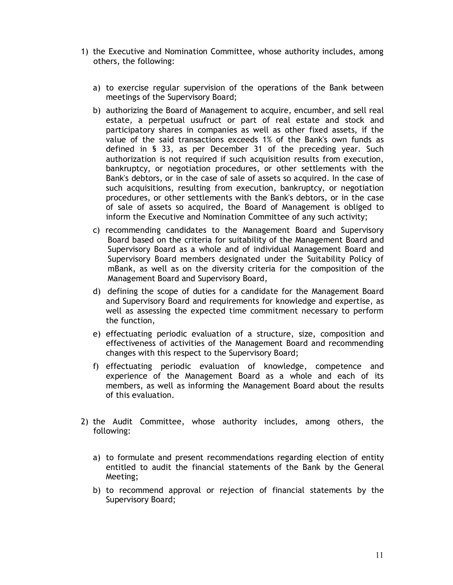- 1) the Executive and Nomination Committee, whose authority includes, among others, the following:
	- a) to exercise regular supervision of the operations of the Bank between meetings of the Supervisory Board;
	- b) authorizing the Board of Management to acquire, encumber, and sell real estate, a perpetual usufruct or part of real estate and stock and participatory shares in companies as well as other fixed assets, if the value of the said transactions exceeds 1% of the Bank's own funds as defined in § 33, as per December 31 of the preceding year. Such authorization is not required if such acquisition results from execution, bankruptcy, or negotiation procedures, or other settlements with the Bank's debtors, or in the case of sale of assets so acquired. In the case of such acquisitions, resulting from execution, bankruptcy, or negotiation procedures, or other settlements with the Bank's debtors, or in the case of sale of assets so acquired, the Board of Management is obliged to inform the Executive and Nomination Committee of any such activity;
	- c) recommending candidates to the Management Board and Supervisory Board based on the criteria for suitability of the Management Board and Supervisory Board as a whole and of individual Management Board and Supervisory Board members designated under the Suitability Policy of mBank, as well as on the diversity criteria for the composition of the Management Board and Supervisory Board,
	- d) defining the scope of duties for a candidate for the Management Board and Supervisory Board and requirements for knowledge and expertise, as well as assessing the expected time commitment necessary to perform the function,
	- e) effectuating periodic evaluation of a structure, size, composition and effectiveness of activities of the Management Board and recommending changes with this respect to the Supervisory Board;
	- f) effectuating periodic evaluation of knowledge, competence and experience of the Management Board as a whole and each of its members, as well as informing the Management Board about the results of this evaluation.
- 2) the Audit Committee, whose authority includes, among others, the following:
	- a) to formulate and present recommendations regarding election of entity entitled to audit the financial statements of the Bank by the General Meeting;
	- b) to recommend approval or rejection of financial statements by the Supervisory Board;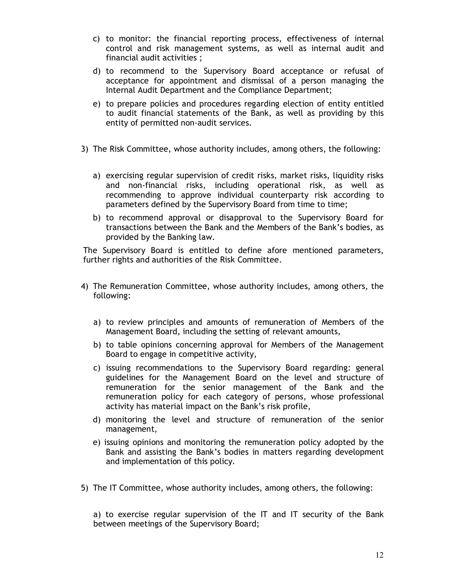- c) to monitor: the financial reporting process, effectiveness of internal control and risk management systems, as well as internal audit and financial audit activities ;
- d) to recommend to the Supervisory Board acceptance or refusal of acceptance for appointment and dismissal of a person managing the Internal Audit Department and the Compliance Department;
- e) to prepare policies and procedures regarding election of entity entitled to audit financial statements of the Bank, as well as providing by this entity of permitted non-audit services.
- 3) The Risk Committee, whose authority includes, among others, the following:
	- a) exercising regular supervision of credit risks, market risks, liquidity risks and non-financial risks, including operational risk, as well as recommending to approve individual counterparty risk according to parameters defined by the Supervisory Board from time to time;
	- b) to recommend approval or disapproval to the Supervisory Board for transactions between the Bank and the Members of the Bank's bodies, as provided by the Banking law.

The Supervisory Board is entitled to define afore mentioned parameters, further rights and authorities of the Risk Committee.

- 4) The Remuneration Committee, whose authority includes, among others, the following:
	- a) to review principles and amounts of remuneration of Members of the Management Board, including the setting of relevant amounts,
	- b) to table opinions concerning approval for Members of the Management Board to engage in competitive activity,
	- c) issuing recommendations to the Supervisory Board regarding: general guidelines for the Management Board on the level and structure of remuneration for the senior management of the Bank and the remuneration policy for each category of persons, whose professional activity has material impact on the Bank's risk profile,
	- d) monitoring the level and structure of remuneration of the senior management,
	- e) issuing opinions and monitoring the remuneration policy adopted by the Bank and assisting the Bank's bodies in matters regarding development and implementation of this policy.
- 5) The IT Committee, whose authority includes, among others, the following:

a) to exercise regular supervision of the IT and IT security of the Bank between meetings of the Supervisory Board;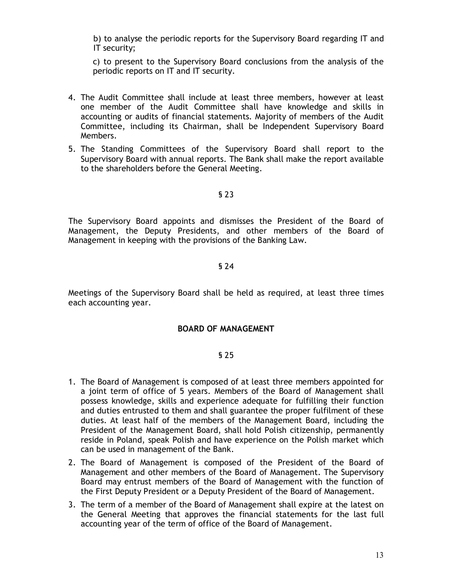b) to analyse the periodic reports for the Supervisory Board regarding IT and IT security;

c) to present to the Supervisory Board conclusions from the analysis of the periodic reports on IT and IT security.

- 4. The Audit Committee shall include at least three members, however at least one member of the Audit Committee shall have knowledge and skills in accounting or audits of financial statements. Majority of members of the Audit Committee, including its Chairman, shall be Independent Supervisory Board Members.
- 5. The Standing Committees of the Supervisory Board shall report to the Supervisory Board with annual reports. The Bank shall make the report available to the shareholders before the General Meeting.

## § 23

The Supervisory Board appoints and dismisses the President of the Board of Management, the Deputy Presidents, and other members of the Board of Management in keeping with the provisions of the Banking Law.

## § 24

Meetings of the Supervisory Board shall be held as required, at least three times each accounting year.

# **BOARD OF MANAGEMENT**

- 1. The Board of Management is composed of at least three members appointed for a joint term of office of 5 years. Members of the Board of Management shall possess knowledge, skills and experience adequate for fulfilling their function and duties entrusted to them and shall guarantee the proper fulfilment of these duties. At least half of the members of the Management Board, including the President of the Management Board, shall hold Polish citizenship, permanently reside in Poland, speak Polish and have experience on the Polish market which can be used in management of the Bank.
- 2. The Board of Management is composed of the President of the Board of Management and other members of the Board of Management. The Supervisory Board may entrust members of the Board of Management with the function of the First Deputy President or a Deputy President of the Board of Management.
- 3. The term of a member of the Board of Management shall expire at the latest on the General Meeting that approves the financial statements for the last full accounting year of the term of office of the Board of Management.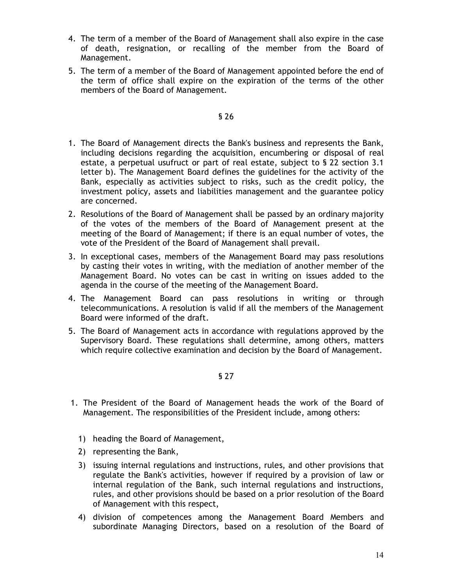- 4. The term of a member of the Board of Management shall also expire in the case of death, resignation, or recalling of the member from the Board of Management.
- 5. The term of a member of the Board of Management appointed before the end of the term of office shall expire on the expiration of the terms of the other members of the Board of Management.

## § 26

- 1. The Board of Management directs the Bank's business and represents the Bank, including decisions regarding the acquisition, encumbering or disposal of real estate, a perpetual usufruct or part of real estate, subject to § 22 section 3.1 letter b). The Management Board defines the guidelines for the activity of the Bank, especially as activities subject to risks, such as the credit policy, the investment policy, assets and liabilities management and the guarantee policy are concerned.
- 2. Resolutions of the Board of Management shall be passed by an ordinary majority of the votes of the members of the Board of Management present at the meeting of the Board of Management; if there is an equal number of votes, the vote of the President of the Board of Management shall prevail.
- 3. In exceptional cases, members of the Management Board may pass resolutions by casting their votes in writing, with the mediation of another member of the Management Board. No votes can be cast in writing on issues added to the agenda in the course of the meeting of the Management Board.
- 4. The Management Board can pass resolutions in writing or through telecommunications. A resolution is valid if all the members of the Management Board were informed of the draft.
- 5. The Board of Management acts in accordance with regulations approved by the Supervisory Board. These regulations shall determine, among others, matters which require collective examination and decision by the Board of Management.

- 1. The President of the Board of Management heads the work of the Board of Management. The responsibilities of the President include, among others:
	- 1) heading the Board of Management,
	- 2) representing the Bank,
	- 3) issuing internal regulations and instructions, rules, and other provisions that regulate the Bank's activities, however if required by a provision of law or internal regulation of the Bank, such internal regulations and instructions, rules, and other provisions should be based on a prior resolution of the Board of Management with this respect,
	- 4) division of competences among the Management Board Members and subordinate Managing Directors, based on a resolution of the Board of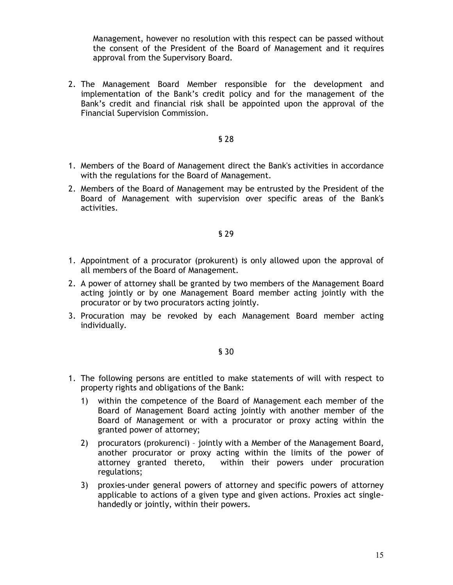Management, however no resolution with this respect can be passed without the consent of the President of the Board of Management and it requires approval from the Supervisory Board.

2. The Management Board Member responsible for the development and implementation of the Bank's credit policy and for the management of the Bank's credit and financial risk shall be appointed upon the approval of the Financial Supervision Commission.

## § 28

- 1. Members of the Board of Management direct the Bank's activities in accordance with the regulations for the Board of Management.
- 2. Members of the Board of Management may be entrusted by the President of the Board of Management with supervision over specific areas of the Bank's activities.

#### § 29

- 1. Appointment of a procurator (prokurent) is only allowed upon the approval of all members of the Board of Management.
- 2. A power of attorney shall be granted by two members of the Management Board acting jointly or by one Management Board member acting jointly with the procurator or by two procurators acting jointly.
- 3. Procuration may be revoked by each Management Board member acting individually.

- 1. The following persons are entitled to make statements of will with respect to property rights and obligations of the Bank:
	- 1) within the competence of the Board of Management each member of the Board of Management Board acting jointly with another member of the Board of Management or with a procurator or proxy acting within the granted power of attorney;
	- 2) procurators (prokurenci) jointly with a Member of the Management Board, another procurator or proxy acting within the limits of the power of attorney granted thereto, within their powers under procuration regulations;
	- 3) proxies-under general powers of attorney and specific powers of attorney applicable to actions of a given type and given actions. Proxies act singlehandedly or jointly, within their powers.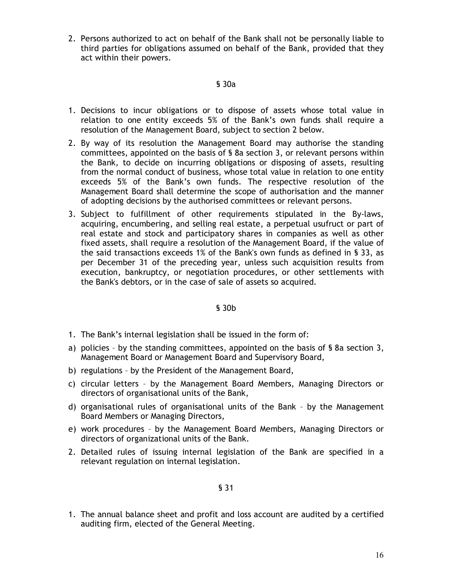2. Persons authorized to act on behalf of the Bank shall not be personally liable to third parties for obligations assumed on behalf of the Bank, provided that they act within their powers.

## § 30a

- 1. Decisions to incur obligations or to dispose of assets whose total value in relation to one entity exceeds 5% of the Bank's own funds shall require a resolution of the Management Board, subject to section 2 below.
- 2. By way of its resolution the Management Board may authorise the standing committees, appointed on the basis of § 8a section 3, or relevant persons within the Bank, to decide on incurring obligations or disposing of assets, resulting from the normal conduct of business, whose total value in relation to one entity exceeds 5% of the Bank's own funds. The respective resolution of the Management Board shall determine the scope of authorisation and the manner of adopting decisions by the authorised committees or relevant persons.
- 3. Subject to fulfillment of other requirements stipulated in the By-laws, acquiring, encumbering, and selling real estate, a perpetual usufruct or part of real estate and stock and participatory shares in companies as well as other fixed assets, shall require a resolution of the Management Board, if the value of the said transactions exceeds 1% of the Bank's own funds as defined in § 33, as per December 31 of the preceding year, unless such acquisition results from execution, bankruptcy, or negotiation procedures, or other settlements with the Bank's debtors, or in the case of sale of assets so acquired.

## § 30b

- 1. The Bank's internal legislation shall be issued in the form of:
- a) policies by the standing committees, appointed on the basis of § 8a section 3, Management Board or Management Board and Supervisory Board,
- b) regulations by the President of the Management Board,
- c) circular letters by the Management Board Members, Managing Directors or directors of organisational units of the Bank,
- d) organisational rules of organisational units of the Bank by the Management Board Members or Managing Directors,
- e) work procedures by the Management Board Members, Managing Directors or directors of organizational units of the Bank.
- 2. Detailed rules of issuing internal legislation of the Bank are specified in a relevant regulation on internal legislation.

§ 31

1. The annual balance sheet and profit and loss account are audited by a certified auditing firm, elected of the General Meeting.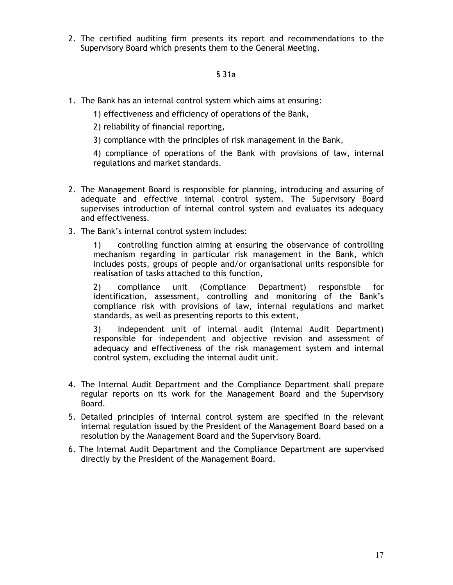2. The certified auditing firm presents its report and recommendations to the Supervisory Board which presents them to the General Meeting.

# § 31a

- 1. The Bank has an internal control system which aims at ensuring:
	- 1) effectiveness and efficiency of operations of the Bank,
	- 2) reliability of financial reporting,
	- 3) compliance with the principles of risk management in the Bank,

4) compliance of operations of the Bank with provisions of law, internal regulations and market standards.

- 2. The Management Board is responsible for planning, introducing and assuring of adequate and effective internal control system. The Supervisory Board supervises introduction of internal control system and evaluates its adequacy and effectiveness.
- 3. The Bank's internal control system includes:

1) controlling function aiming at ensuring the observance of controlling mechanism regarding in particular risk management in the Bank, which includes posts, groups of people and/or organisational units responsible for realisation of tasks attached to this function,

2) compliance unit (Compliance Department) responsible for identification, assessment, controlling and monitoring of the Bank's compliance risk with provisions of law, internal regulations and market standards, as well as presenting reports to this extent,

3) independent unit of internal audit (Internal Audit Department) responsible for independent and objective revision and assessment of adequacy and effectiveness of the risk management system and internal control system, excluding the internal audit unit.

- 4. The Internal Audit Department and the Compliance Department shall prepare regular reports on its work for the Management Board and the Supervisory Board.
- 5. Detailed principles of internal control system are specified in the relevant internal regulation issued by the President of the Management Board based on a resolution by the Management Board and the Supervisory Board.
- 6. The Internal Audit Department and the Compliance Department are supervised directly by the President of the Management Board.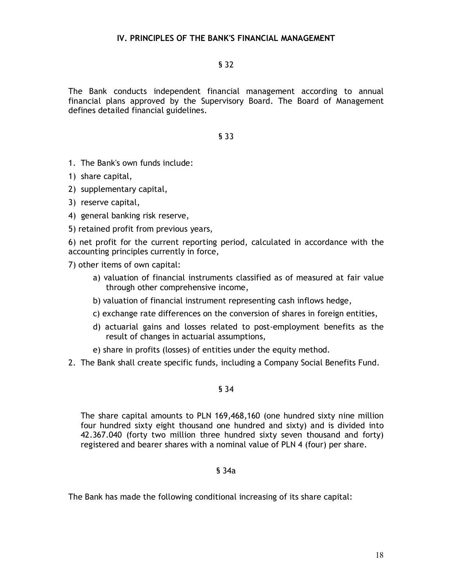# § 32

The Bank conducts independent financial management according to annual financial plans approved by the Supervisory Board. The Board of Management defines detailed financial guidelines.

## § 33

- 1. The Bank's own funds include:
- 1) share capital,
- 2) supplementary capital,
- 3) reserve capital,
- 4) general banking risk reserve,
- 5) retained profit from previous years,

6) net profit for the current reporting period, calculated in accordance with the accounting principles currently in force,

7) other items of own capital:

- a) valuation of financial instruments classified as of measured at fair value through other comprehensive income,
- b) valuation of financial instrument representing cash inflows hedge,
- c) exchange rate differences on the conversion of shares in foreign entities,
- d) actuarial gains and losses related to post-employment benefits as the result of changes in actuarial assumptions,
- e) share in profits (losses) of entities under the equity method.
- 2. The Bank shall create specific funds, including a Company Social Benefits Fund.

## § 34

The share capital amounts to PLN 169,468,160 (one hundred sixty nine million four hundred sixty eight thousand one hundred and sixty) and is divided into 42.367.040 (forty two million three hundred sixty seven thousand and forty) registered and bearer shares with a nominal value of PLN 4 (four) per share.

## § 34a

The Bank has made the following conditional increasing of its share capital: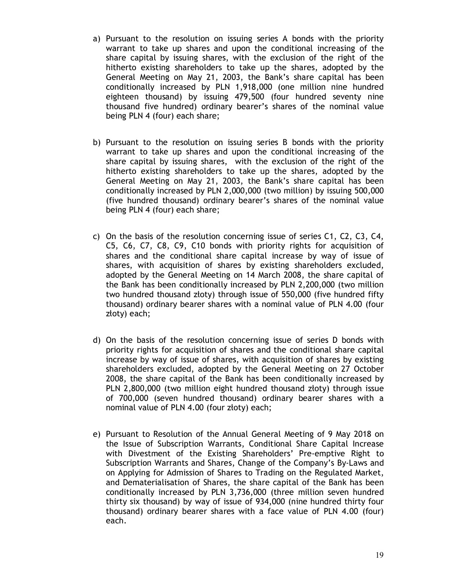- a) Pursuant to the resolution on issuing series A bonds with the priority warrant to take up shares and upon the conditional increasing of the share capital by issuing shares, with the exclusion of the right of the hitherto existing shareholders to take up the shares, adopted by the General Meeting on May 21, 2003, the Bank's share capital has been conditionally increased by PLN 1,918,000 (one million nine hundred eighteen thousand) by issuing 479,500 (four hundred seventy nine thousand five hundred) ordinary bearer's shares of the nominal value being PLN 4 (four) each share;
- b) Pursuant to the resolution on issuing series B bonds with the priority warrant to take up shares and upon the conditional increasing of the share capital by issuing shares, with the exclusion of the right of the hitherto existing shareholders to take up the shares, adopted by the General Meeting on May 21, 2003, the Bank's share capital has been conditionally increased by PLN 2,000,000 (two million) by issuing 500,000 (five hundred thousand) ordinary bearer's shares of the nominal value being PLN 4 (four) each share;
- c) On the basis of the resolution concerning issue of series C1, C2, C3, C4, C5, C6, C7, C8, C9, C10 bonds with priority rights for acquisition of shares and the conditional share capital increase by way of issue of shares, with acquisition of shares by existing shareholders excluded, adopted by the General Meeting on 14 March 2008, the share capital of the Bank has been conditionally increased by PLN 2,200,000 (two million two hundred thousand złoty) through issue of 550,000 (five hundred fifty thousand) ordinary bearer shares with a nominal value of PLN 4.00 (four złoty) each;
- d) On the basis of the resolution concerning issue of series D bonds with priority rights for acquisition of shares and the conditional share capital increase by way of issue of shares, with acquisition of shares by existing shareholders excluded, adopted by the General Meeting on 27 October 2008, the share capital of the Bank has been conditionally increased by PLN 2,800,000 (two million eight hundred thousand złoty) through issue of 700,000 (seven hundred thousand) ordinary bearer shares with a nominal value of PLN 4.00 (four złoty) each;
- e) Pursuant to Resolution of the Annual General Meeting of 9 May 2018 on the Issue of Subscription Warrants, Conditional Share Capital Increase with Divestment of the Existing Shareholders' Pre-emptive Right to Subscription Warrants and Shares, Change of the Company's By-Laws and on Applying for Admission of Shares to Trading on the Regulated Market, and Dematerialisation of Shares, the share capital of the Bank has been conditionally increased by PLN 3,736,000 (three million seven hundred thirty six thousand) by way of issue of 934,000 (nine hundred thirty four thousand) ordinary bearer shares with a face value of PLN 4.00 (four) each.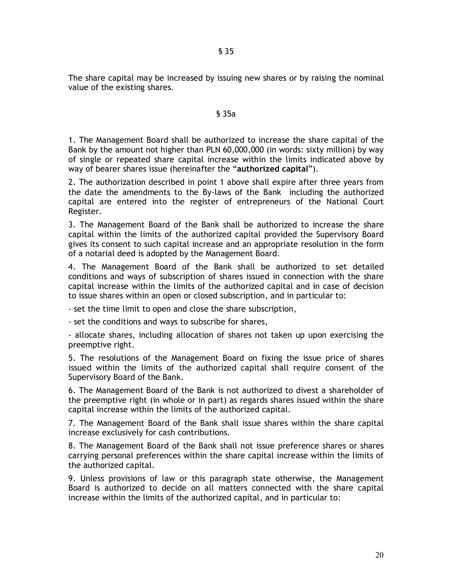§ 35

The share capital may be increased by issuing new shares or by raising the nominal value of the existing shares.

## § 35a

1. The Management Board shall be authorized to increase the share capital of the Bank by the amount not higher than PLN 60,000,000 (in words: sixty million) by way of single or repeated share capital increase within the limits indicated above by way of bearer shares issue (hereinafter the "**authorized capital**").

2. The authorization described in point 1 above shall expire after three years from the date the amendments to the By-laws of the Bank including the authorized capital are entered into the register of entrepreneurs of the National Court Register.

3. The Management Board of the Bank shall be authorized to increase the share capital within the limits of the authorized capital provided the Supervisory Board gives its consent to such capital increase and an appropriate resolution in the form of a notarial deed is adopted by the Management Board.

4. The Management Board of the Bank shall be authorized to set detailed conditions and ways of subscription of shares issued in connection with the share capital increase within the limits of the authorized capital and in case of decision to issue shares within an open or closed subscription, and in particular to:

- set the time limit to open and close the share subscription,

- set the conditions and ways to subscribe for shares,

- allocate shares, including allocation of shares not taken up upon exercising the preemptive right.

5. The resolutions of the Management Board on fixing the issue price of shares issued within the limits of the authorized capital shall require consent of the Supervisory Board of the Bank.

6. The Management Board of the Bank is not authorized to divest a shareholder of the preemptive right (in whole or in part) as regards shares issued within the share capital increase within the limits of the authorized capital.

7. The Management Board of the Bank shall issue shares within the share capital increase exclusively for cash contributions.

8. The Management Board of the Bank shall not issue preference shares or shares carrying personal preferences within the share capital increase within the limits of the authorized capital.

9. Unless provisions of law or this paragraph state otherwise, the Management Board is authorized to decide on all matters connected with the share capital increase within the limits of the authorized capital, and in particular to: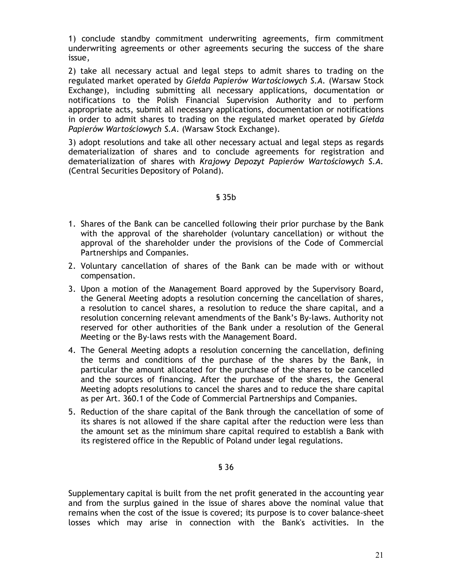1) conclude standby commitment underwriting agreements, firm commitment underwriting agreements or other agreements securing the success of the share issue,

2) take all necessary actual and legal steps to admit shares to trading on the regulated market operated by *Giełda Papierów Wartościowych S.A.* (Warsaw Stock Exchange), including submitting all necessary applications, documentation or notifications to the Polish Financial Supervision Authority and to perform appropriate acts, submit all necessary applications, documentation or notifications in order to admit shares to trading on the regulated market operated by *Giełda Papierów Wartościowych S.A.* (Warsaw Stock Exchange).

3) adopt resolutions and take all other necessary actual and legal steps as regards dematerialization of shares and to conclude agreements for registration and dematerialization of shares with *Krajowy Depozyt Papierów Wartościowych S.A.* (Central Securities Depository of Poland).

# § 35b

- 1. Shares of the Bank can be cancelled following their prior purchase by the Bank with the approval of the shareholder (voluntary cancellation) or without the approval of the shareholder under the provisions of the Code of Commercial Partnerships and Companies.
- 2. Voluntary cancellation of shares of the Bank can be made with or without compensation.
- 3. Upon a motion of the Management Board approved by the Supervisory Board, the General Meeting adopts a resolution concerning the cancellation of shares, a resolution to cancel shares, a resolution to reduce the share capital, and a resolution concerning relevant amendments of the Bank's By-laws. Authority not reserved for other authorities of the Bank under a resolution of the General Meeting or the By-laws rests with the Management Board.
- 4. The General Meeting adopts a resolution concerning the cancellation, defining the terms and conditions of the purchase of the shares by the Bank, in particular the amount allocated for the purchase of the shares to be cancelled and the sources of financing. After the purchase of the shares, the General Meeting adopts resolutions to cancel the shares and to reduce the share capital as per Art. 360.1 of the Code of Commercial Partnerships and Companies.
- 5. Reduction of the share capital of the Bank through the cancellation of some of its shares is not allowed if the share capital after the reduction were less than the amount set as the minimum share capital required to establish a Bank with its registered office in the Republic of Poland under legal regulations.

## § 36

Supplementary capital is built from the net profit generated in the accounting year and from the surplus gained in the issue of shares above the nominal value that remains when the cost of the issue is covered; its purpose is to cover balance-sheet losses which may arise in connection with the Bank's activities. In the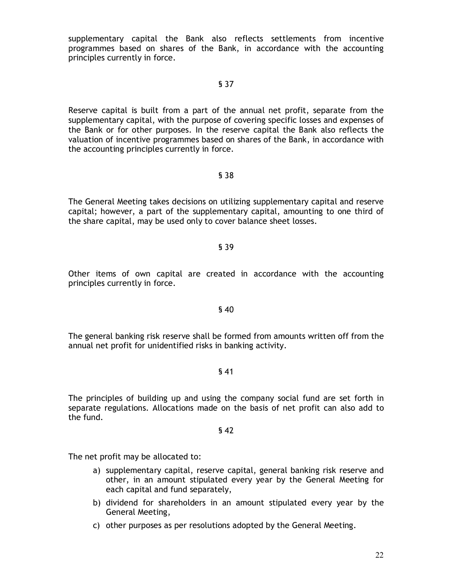supplementary capital the Bank also reflects settlements from incentive programmes based on shares of the Bank, in accordance with the accounting principles currently in force.

## § 37

Reserve capital is built from a part of the annual net profit, separate from the supplementary capital, with the purpose of covering specific losses and expenses of the Bank or for other purposes. In the reserve capital the Bank also reflects the valuation of incentive programmes based on shares of the Bank, in accordance with the accounting principles currently in force.

## § 38

The General Meeting takes decisions on utilizing supplementary capital and reserve capital; however, a part of the supplementary capital, amounting to one third of the share capital, may be used only to cover balance sheet losses.

## § 39

Other items of own capital are created in accordance with the accounting principles currently in force.

## § 40

The general banking risk reserve shall be formed from amounts written off from the annual net profit for unidentified risks in banking activity.

## § 41

The principles of building up and using the company social fund are set forth in separate regulations. Allocations made on the basis of net profit can also add to the fund.

## § 42

The net profit may be allocated to:

- a) supplementary capital, reserve capital, general banking risk reserve and other, in an amount stipulated every year by the General Meeting for each capital and fund separately,
- b) dividend for shareholders in an amount stipulated every year by the General Meeting,
- c) other purposes as per resolutions adopted by the General Meeting.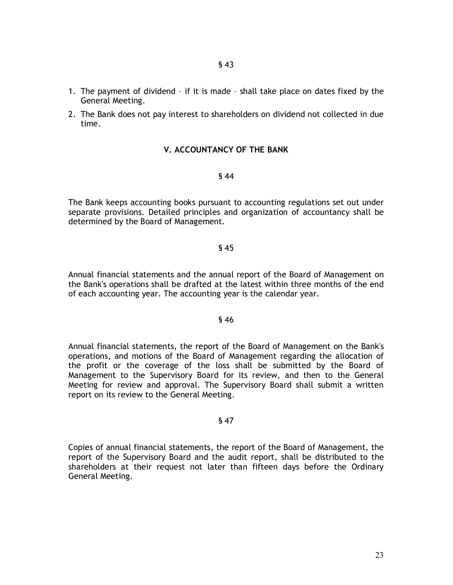- 1. The payment of dividend if it is made shall take place on dates fixed by the General Meeting.
- 2. The Bank does not pay interest to shareholders on dividend not collected in due time.

## **V. ACCOUNTANCY OF THE BANK**

#### § 44

The Bank keeps accounting books pursuant to accounting regulations set out under separate provisions. Detailed principles and organization of accountancy shall be determined by the Board of Management.

## § 45

Annual financial statements and the annual report of the Board of Management on the Bank's operations shall be drafted at the latest within three months of the end of each accounting year. The accounting year is the calendar year.

#### § 46

Annual financial statements, the report of the Board of Management on the Bank's operations, and motions of the Board of Management regarding the allocation of the profit or the coverage of the loss shall be submitted by the Board of Management to the Supervisory Board for its review, and then to the General Meeting for review and approval. The Supervisory Board shall submit a written report on its review to the General Meeting.

## § 47

Copies of annual financial statements, the report of the Board of Management, the report of the Supervisory Board and the audit report, shall be distributed to the shareholders at their request not later than fifteen days before the Ordinary General Meeting.